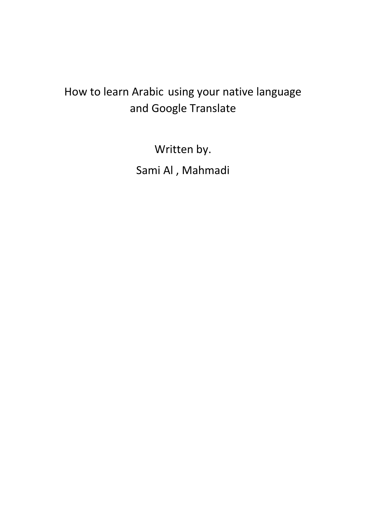## How to learn Arabic using your native language and Google Translate

Written by. Sami Al , Mahmadi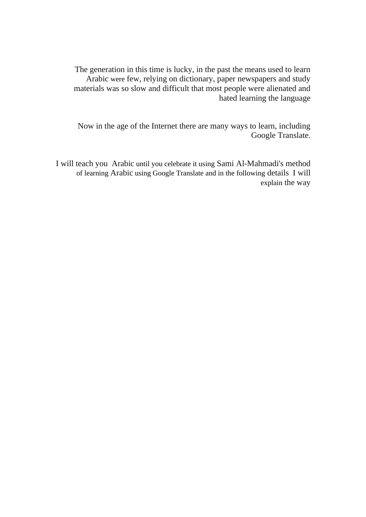The generation in this time is lucky, in the past the means used to learn Arabic were few, relying on dictionary, paper newspapers and study materials was so slow and difficult that most people were alienated and hated learning the language

Now in the age of the Internet there are many ways to learn, including Google Translate.

I will teach you Arabic until you celebrate it using Sami Al-Mahmadi's method of learning Arabic using Google Translate and in the following details I will explain the way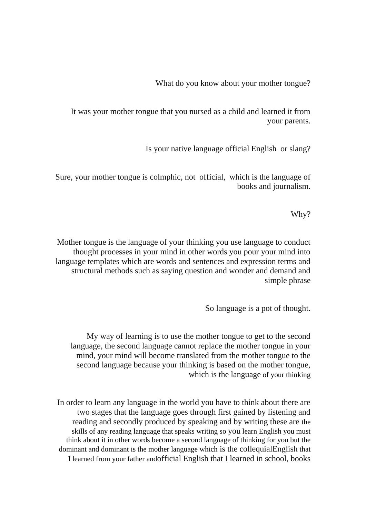What do you know about your mother tongue?

It was your mother tongue that you nursed as a child and learned it from your parents.

Is your native language official English or slang?

Sure, your mother tongue is colmphic, not official, which is the language of books and journalism.

Why?

Mother tongue is the language of your thinking you use language to conduct thought processes in your mind in other words you pour your mind into language templates which are words and sentences and expression terms and structural methods such as saying question and wonder and demand and simple phrase

So language is a pot of thought.

My way of learning is to use the mother tongue to get to the second language, the second language cannot replace the mother tongue in your mind, your mind will become translated from the mother tongue to the second language because your thinking is based on the mother tongue, which is the language of your thinking

In order to learn any language in the world you have to think about there are two stages that the language goes through first gained by listening and reading and secondly produced by speaking and by writing these are the skills of any reading language that speaks writing so you learn English you must think about it in other words become a second language of thinking for you but the dominant and dominant is the mother language which is the collequialEnglish that I learned from your father andofficial English that I learned in school, books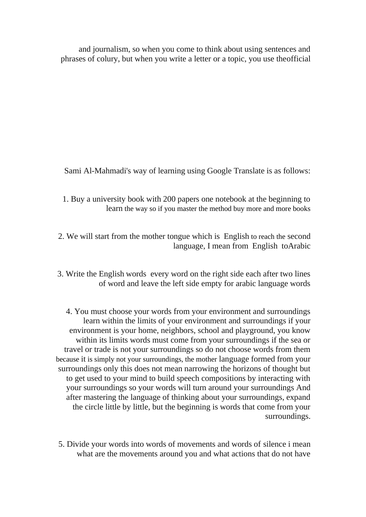and journalism, so when you come to think about using sentences and phrases of colury, but when you write a letter or a topic, you use theofficial

Sami Al-Mahmadi's way of learning using Google Translate is as follows:

- 1. Buy a university book with 200 papers one notebook at the beginning to learn the way so if you master the method buy more and more books
- 2. We will start from the mother tongue which is English to reach the second language, I mean from English toArabic
- 3. Write the English words every word on the right side each after two lines of word and leave the left side empty for arabic language words

4. You must choose your words from your environment and surroundings learn within the limits of your environment and surroundings if your environment is your home, neighbors, school and playground, you know within its limits words must come from your surroundings if the sea or travel or trade is not your surroundings so do not choose words from them because it is simply not your surroundings, the mother language formed from your surroundings only this does not mean narrowing the horizons of thought but to get used to your mind to build speech compositions by interacting with your surroundings so your words will turn around your surroundings And after mastering the language of thinking about your surroundings, expand the circle little by little, but the beginning is words that come from your surroundings.

5. Divide your words into words of movements and words of silence i mean what are the movements around you and what actions that do not have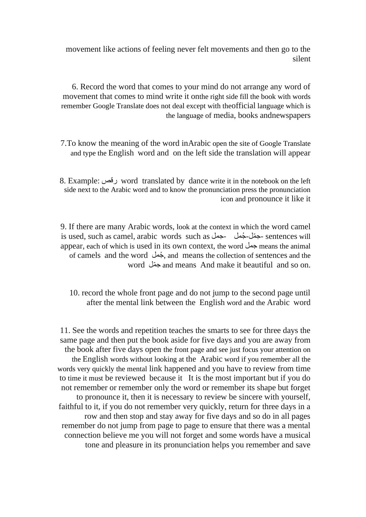movement like actions of feeling never felt movements and then go to the silent

6. Record the word that comes to your mind do not arrange any word of movement that comes to mind write it onthe right side fill the book with words remember Google Translate does not deal except with theofficial language which is the language of media, books andnewspapers

7.To know the meaning of the word inArabic open the site of Google Translate and type the English word and on the left side the translation will appear

8. Example: رقص word translated by dance write it in the notebook on the left side next to the Arabic word and to know the pronunciation press the pronunciation icon and pronounce it like it

9. If there are many Arabic words, look at the context in which the word camel is used, such as camel, arabic words such as جمل- جملُ -ملّ ج- sentences will appear, each of which is used in its own context, the word جمل means the animal of camels and the word جملُ , and means the collection of sentences and the word ملّ ج and means And make it beautiful and so on.

10. record the whole front page and do not jump to the second page until after the mental link between the English word and the Arabic word

11. See the words and repetition teaches the smarts to see for three days the same page and then put the book aside for five days and you are away from the book after five days open the front page and see just focus your attention on the English words without looking at the Arabic word if you remember all the words very quickly the mental link happened and you have to review from time to time it must be reviewed because it It is the most important but if you do not remember or remember only the word or remember its shape but forget to pronounce it, then it is necessary to review be sincere with yourself, faithful to it, if you do not remember very quickly, return for three days in a row and then stop and stay away for five days and so do in all pages remember do not jump from page to page to ensure that there was a mental connection believe me you will not forget and some words have a musical tone and pleasure in its pronunciation helps you remember and save